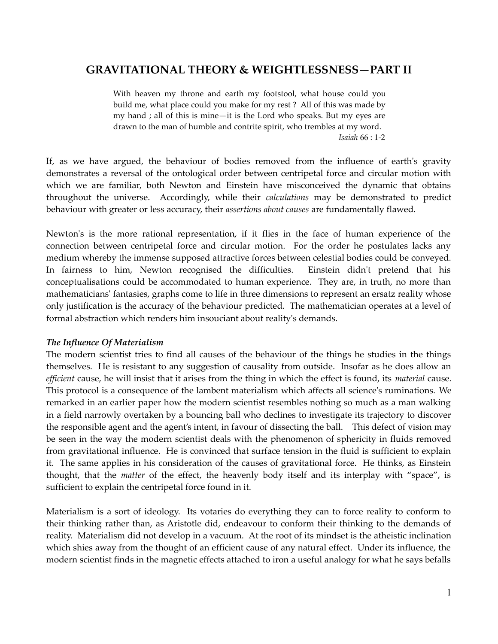# **GRAVITATIONAL THEORY & WEIGHTLESSNESS—PART II**

With heaven my throne and earth my footstool, what house could you build me, what place could you make for my rest ? All of this was made by my hand ; all of this is mine—it is the Lord who speaks. But my eyes are drawn to the man of humble and contrite spirit, who trembles at my word. *Isaiah* 66 : 1-2

If, as we have argued, the behaviour of bodies removed from the influence of earth's gravity demonstrates a reversal of the ontological order between centripetal force and circular motion with which we are familiar, both Newton and Einstein have misconceived the dynamic that obtains throughout the universe. Accordingly, while their *calculations* may be demonstrated to predict behaviour with greater or less accuracy, their *assertions about causes* are fundamentally flawed.

Newton's is the more rational representation, if it flies in the face of human experience of the connection between centripetal force and circular motion. For the order he postulates lacks any medium whereby the immense supposed attractive forces between celestial bodies could be conveyed. In fairness to him, Newton recognised the difficulties. Einstein didn't pretend that his conceptualisations could be accommodated to human experience. They are, in truth, no more than mathematicians' fantasies, graphs come to life in three dimensions to represent an ersatz reality whose only justification is the accuracy of the behaviour predicted. The mathematician operates at a level of formal abstraction which renders him insouciant about reality's demands.

## *The Influence Of Materialism*

The modern scientist tries to find all causes of the behaviour of the things he studies in the things themselves. He is resistant to any suggestion of causality from outside. Insofar as he does allow an *efficient* cause, he will insist that it arises from the thing in which the effect is found, its *material* cause. This protocol is a consequence of the lambent materialism which affects all science's ruminations. We remarked in an earlier paper how the modern scientist resembles nothing so much as a man walking in a field narrowly overtaken by a bouncing ball who declines to investigate its trajectory to discover the responsible agent and the agent's intent, in favour of dissecting the ball. This defect of vision may be seen in the way the modern scientist deals with the phenomenon of sphericity in fluids removed from gravitational influence. He is convinced that surface tension in the fluid is sufficient to explain it. The same applies in his consideration of the causes of gravitational force. He thinks, as Einstein thought, that the *matter* of the effect, the heavenly body itself and its interplay with "space", is sufficient to explain the centripetal force found in it.

Materialism is a sort of ideology. Its votaries do everything they can to force reality to conform to their thinking rather than, as Aristotle did, endeavour to conform their thinking to the demands of reality. Materialism did not develop in a vacuum. At the root of its mindset is the atheistic inclination which shies away from the thought of an efficient cause of any natural effect. Under its influence, the modern scientist finds in the magnetic effects attached to iron a useful analogy for what he says befalls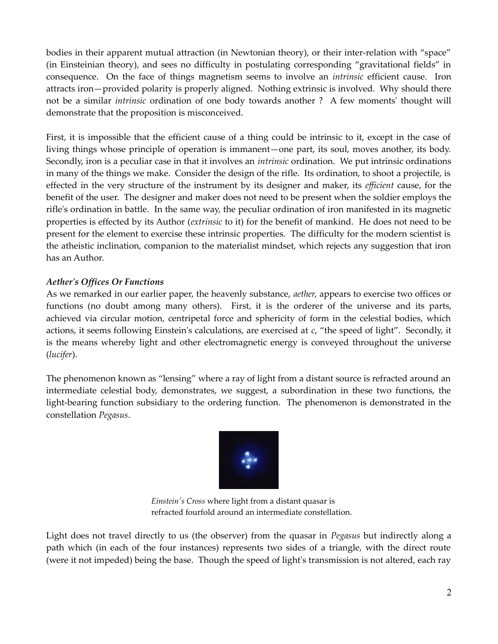bodies in their apparent mutual attraction (in Newtonian theory), or their inter-relation with "space" (in Einsteinian theory), and sees no difficulty in postulating corresponding "gravitational fields" in consequence. On the face of things magnetism seems to involve an *intrinsic* efficient cause. Iron attracts iron—provided polarity is properly aligned. Nothing extrinsic is involved. Why should there not be a similar *intrinsic* ordination of one body towards another ? A few moments' thought will demonstrate that the proposition is misconceived.

First, it is impossible that the efficient cause of a thing could be intrinsic to it, except in the case of living things whose principle of operation is immanent—one part, its soul, moves another, its body. Secondly, iron is a peculiar case in that it involves an *intrinsic* ordination. We put intrinsic ordinations in many of the things we make. Consider the design of the rifle. Its ordination, to shoot a projectile, is effected in the very structure of the instrument by its designer and maker, its *efficient* cause, for the benefit of the user. The designer and maker does not need to be present when the soldier employs the rifle's ordination in battle. In the same way, the peculiar ordination of iron manifested in its magnetic properties is effected by its Author (*extrinsic* to it) for the benefit of mankind. He does not need to be present for the element to exercise these intrinsic properties. The difficulty for the modern scientist is the atheistic inclination, companion to the materialist mindset, which rejects any suggestion that iron has an Author.

## *Aether's Offices Or Functions*

As we remarked in our earlier paper, the heavenly substance, *aether*, appears to exercise two offices or functions (no doubt among many others). First, it is the orderer of the universe and its parts, achieved via circular motion, centripetal force and sphericity of form in the celestial bodies, which actions, it seems following Einstein's calculations, are exercised at *c*, "the speed of light". Secondly, it is the means whereby light and other electromagnetic energy is conveyed throughout the universe (*lucifer*).

The phenomenon known as "lensing" where a ray of light from a distant source is refracted around an intermediate celestial body, demonstrates, we suggest, a subordination in these two functions, the light-bearing function subsidiary to the ordering function. The phenomenon is demonstrated in the constellation *Pegasus*.



*Einstein's Cross* where light from a distant quasar is refracted fourfold around an intermediate constellation.

Light does not travel directly to us (the observer) from the quasar in *Pegasus* but indirectly along a path which (in each of the four instances) represents two sides of a triangle, with the direct route (were it not impeded) being the base. Though the speed of light's transmission is not altered, each ray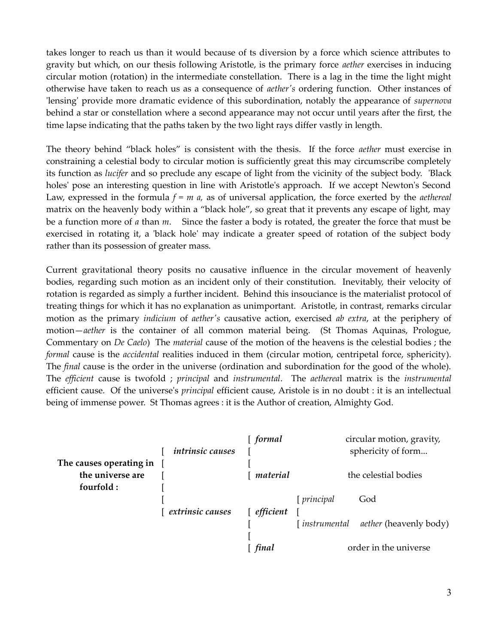takes longer to reach us than it would because of ts diversion by a force which science attributes to gravity but which, on our thesis following Aristotle, is the primary force *aether* exercises in inducing circular motion (rotation) in the intermediate constellation. There is a lag in the time the light might otherwise have taken to reach us as a consequence of *aether's* ordering function. Other instances of 'lensing' provide more dramatic evidence of this subordination, notably the appearance of *supernova* behind a star or constellation where a second appearance may not occur until years after the first, the time lapse indicating that the paths taken by the two light rays differ vastly in length.

The theory behind "black holes" is consistent with the thesis. If the force *aether* must exercise in constraining a celestial body to circular motion is sufficiently great this may circumscribe completely its function as *lucifer* and so preclude any escape of light from the vicinity of the subject body. 'Black holes' pose an interesting question in line with Aristotle's approach. If we accept Newton's Second Law, expressed in the formula *f = m a,* as of universal application, the force exerted by the *aethereal* matrix on the heavenly body within a "black hole", so great that it prevents any escape of light, may be a function more of *a* than *m*. Since the faster a body is rotated, the greater the force that must be exercised in rotating it, a 'black hole' may indicate a greater speed of rotation of the subject body rather than its possession of greater mass.

Current gravitational theory posits no causative influence in the circular movement of heavenly bodies, regarding such motion as an incident only of their constitution. Inevitably, their velocity of rotation is regarded as simply a further incident. Behind this insouciance is the materialist protocol of treating things for which it has no explanation as unimportant. Aristotle, in contrast, remarks circular motion as the primary *indicium* of *aether's* causative action, exercised *ab extra*, at the periphery of motion—*aether* is the container of all common material being. (St Thomas Aquinas, Prologue, Commentary on *De Caelo*) The *material* cause of the motion of the heavens is the celestial bodies ; the *formal* cause is the *accidental* realities induced in them (circular motion, centripetal force, sphericity). The *final* cause is the order in the universe (ordination and subordination for the good of the whole). The *efficient* cause is twofold ; *principal* and *instrumental*. The *aetherea*l matrix is the *instrumental* efficient cause. Of the universe's *principal* efficient cause, Aristole is in no doubt : it is an intellectual being of immense power. St Thomas agrees : it is the Author of creation, Almighty God.

|                         | <i>intrinsic causes</i> | formal             |                       | circular motion, gravity,<br>sphericity of form |
|-------------------------|-------------------------|--------------------|-----------------------|-------------------------------------------------|
| The causes operating in |                         |                    |                       |                                                 |
| the universe are        |                         | material           | the celestial bodies  |                                                 |
| fourfold:               |                         |                    |                       |                                                 |
|                         |                         |                    | [ principal           | God                                             |
|                         | extrinsic causes        | $\lceil$ efficient |                       |                                                 |
|                         |                         |                    | [instrumental]        | <i>aether</i> (heavenly body)                   |
|                         |                         | final              | order in the universe |                                                 |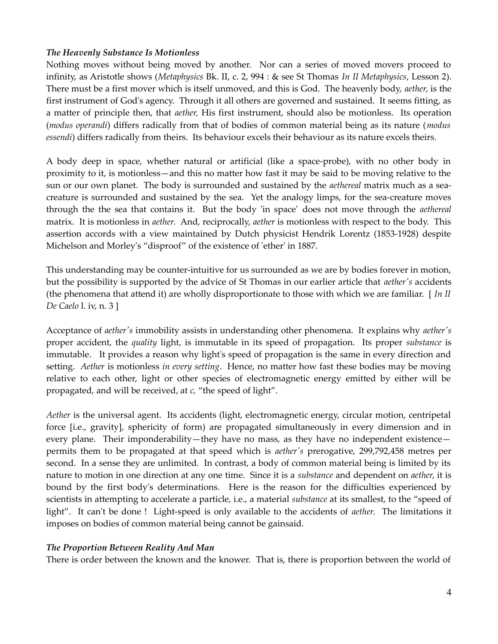## *The Heavenly Substance Is Motionless*

Nothing moves without being moved by another. Nor can a series of moved movers proceed to infinity, as Aristotle shows (*Metaphysics* Bk. II, c. 2, 994 : & see St Thomas *In II Metaphysics*, Lesson 2). There must be a first mover which is itself unmoved, and this is God. The heavenly body, *aether*, is the first instrument of God's agency. Through it all others are governed and sustained. It seems fitting, as a matter of principle then, that *aether,* His first instrument, should also be motionless. Its operation (*modus operandi*) differs radically from that of bodies of common material being as its nature (*modus essendi*) differs radically from theirs. Its behaviour excels their behaviour as its nature excels theirs.

A body deep in space, whether natural or artificial (like a space-probe), with no other body in proximity to it, is motionless—and this no matter how fast it may be said to be moving relative to the sun or our own planet. The body is surrounded and sustained by the *aethereal* matrix much as a seacreature is surrounded and sustained by the sea. Yet the analogy limps, for the sea-creature moves through the the sea that contains it. But the body 'in space' does not move through the *aethereal* matrix. It is motionless in *aether*. And, reciprocally, *aether* is motionless with respect to the body. This assertion accords with a view maintained by Dutch physicist Hendrik Lorentz (1853-1928) despite Michelson and Morley's "disproof" of the existence of 'ether' in 1887.

This understanding may be counter-intuitive for us surrounded as we are by bodies forever in motion, but the possibility is supported by the advice of St Thomas in our earlier article that *aether's* accidents (the phenomena that attend it) are wholly disproportionate to those with which we are familiar. [ *In II De Caelo* l. iv, n. 3 ]

Acceptance of *aether's* immobility assists in understanding other phenomena. It explains why *aether's* proper accident, the *quality* light, is immutable in its speed of propagation. Its proper *substance* is immutable. It provides a reason why light's speed of propagation is the same in every direction and setting. *Aether* is motionless *in every setting*. Hence, no matter how fast these bodies may be moving relative to each other, light or other species of electromagnetic energy emitted by either will be propagated, and will be received, at *c,* "the speed of light".

*Aether* is the universal agent. Its accidents (light, electromagnetic energy, circular motion, centripetal force [i.e., gravity], sphericity of form) are propagated simultaneously in every dimension and in every plane. Their imponderability—they have no mass, as they have no independent existence permits them to be propagated at that speed which is *aether's* prerogative, 299,792,458 metres per second. In a sense they are unlimited. In contrast, a body of common material being is limited by its nature to motion in one direction at any one time. Since it is a *substance* and dependent on *aether*, it is bound by the first body's determinations. Here is the reason for the difficulties experienced by scientists in attempting to accelerate a particle, i.e., a material *substance* at its smallest, to the "speed of light". It can't be done ! Light-speed is only available to the accidents of *aether*. The limitations it imposes on bodies of common material being cannot be gainsaid.

## *The Proportion Between Reality And Man*

There is order between the known and the knower. That is, there is proportion between the world of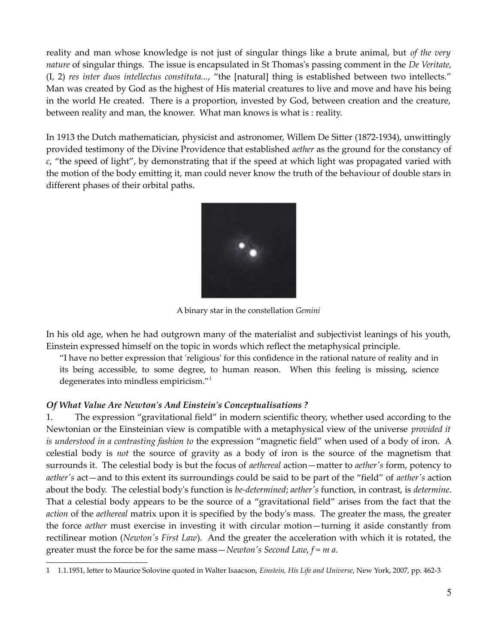reality and man whose knowledge is not just of singular things like a brute animal, but *of the very nature* of singular things. The issue is encapsulated in St Thomas's passing comment in the *De Veritate,* (I, 2) *res inter duos intellectus constituta...*, "the [natural] thing is established between two intellects." Man was created by God as the highest of His material creatures to live and move and have his being in the world He created. There is a proportion, invested by God, between creation and the creature, between reality and man, the knower. What man knows is what is : reality.

In 1913 the Dutch mathematician, physicist and astronomer, Willem De Sitter (1872-1934), unwittingly provided testimony of the Divine Providence that established *aether* as the ground for the constancy of *c*, "the speed of light", by demonstrating that if the speed at which light was propagated varied with the motion of the body emitting it, man could never know the truth of the behaviour of double stars in different phases of their orbital paths.



A binary star in the constellation *Gemini*

In his old age, when he had outgrown many of the materialist and subjectivist leanings of his youth, Einstein expressed himself on the topic in words which reflect the metaphysical principle.

"I have no better expression that 'religious' for this confidence in the rational nature of reality and in its being accessible, to some degree, to human reason. When this feeling is missing, science degenerates into mindless empiricism."[1](#page-4-0)

## *Of What Value Are Newton's And Einstein's Conceptualisations ?*

1. The expression "gravitational field" in modern scientific theory, whether used according to the Newtonian or the Einsteinian view is compatible with a metaphysical view of the universe *provided it is understood in a contrasting fashion to* the expression "magnetic field" when used of a body of iron. A celestial body is *not* the source of gravity as a body of iron is the source of the magnetism that surrounds it. The celestial body is but the focus of *aethereal* action—matter to *aether's* form, potency to *aether's* act—and to this extent its surroundings could be said to be part of the "field" of *aether's* action about the body. The celestial body's function is *be-determined*; *aether's* function, in contrast, is *determine*. That a celestial body appears to be the source of a "gravitational field" arises from the fact that the *action* of the *aethereal* matrix upon it is specified by the body's mass. The greater the mass, the greater the force *aether* must exercise in investing it with circular motion—turning it aside constantly from rectilinear motion (*Newton's First Law*). And the greater the acceleration with which it is rotated, the greater must the force be for the same mass—*Newton's Second Law*, *f = m a*.

<span id="page-4-0"></span><sup>1</sup> 1.1.1951, letter to Maurice Solovine quoted in Walter Isaacson, *Einstein, His Life and Universe*, New York, 2007, pp. 462-3